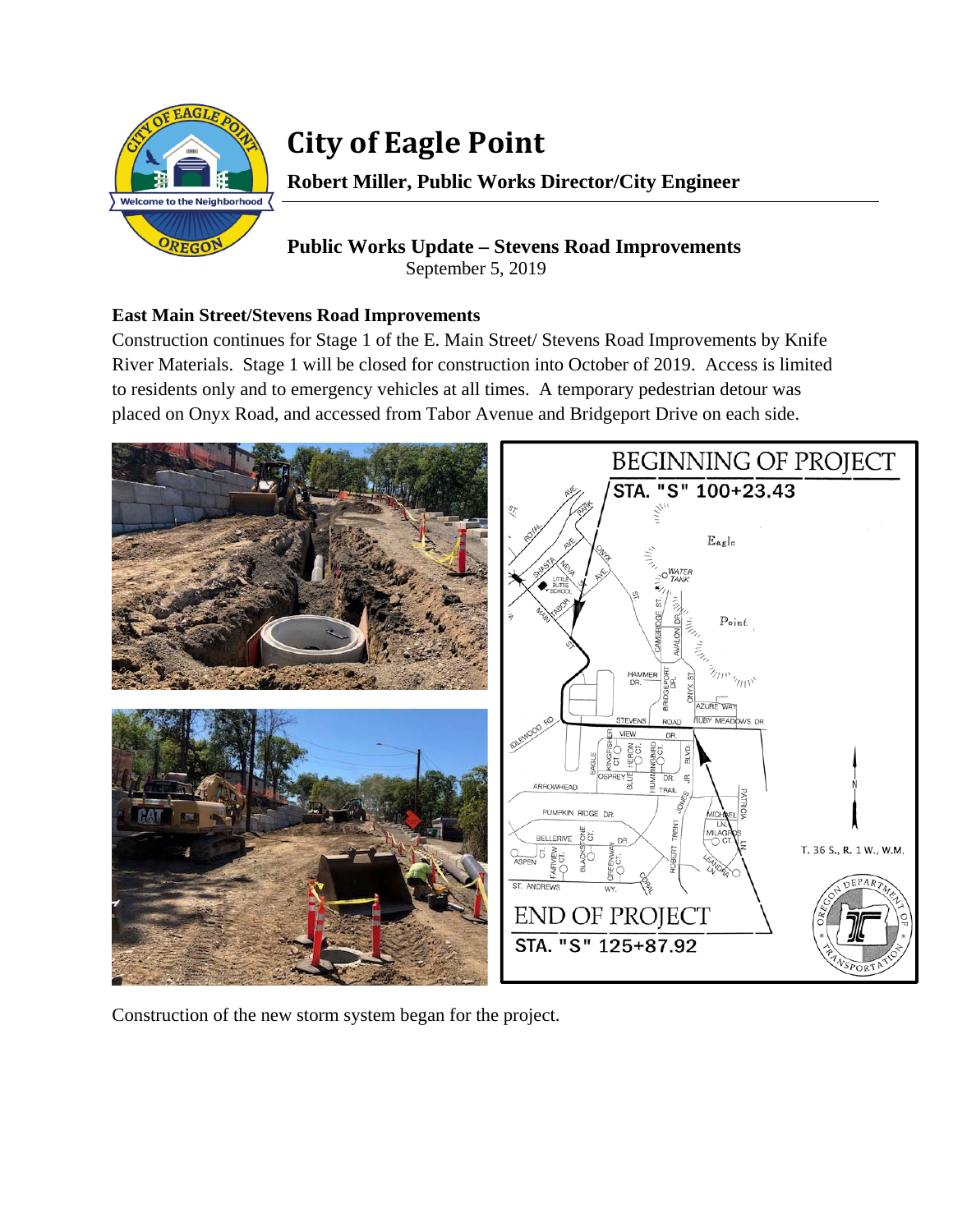

# **City of Eagle Point**

**Robert Miller, Public Works Director/City Engineer** 

## **Public Works Update – Stevens Road Improvements**  September 5, 2019

### **East Main Street/Stevens Road Improvements**

Construction continues for Stage 1 of the E. Main Street/ Stevens Road Improvements by Knife River Materials. Stage 1 will be closed for construction into October of 2019. Access is limited to residents only and to emergency vehicles at all times. A temporary pedestrian detour was placed on Onyx Road, and accessed from Tabor Avenue and Bridgeport Drive on each side.



Construction of the new storm system began for the project.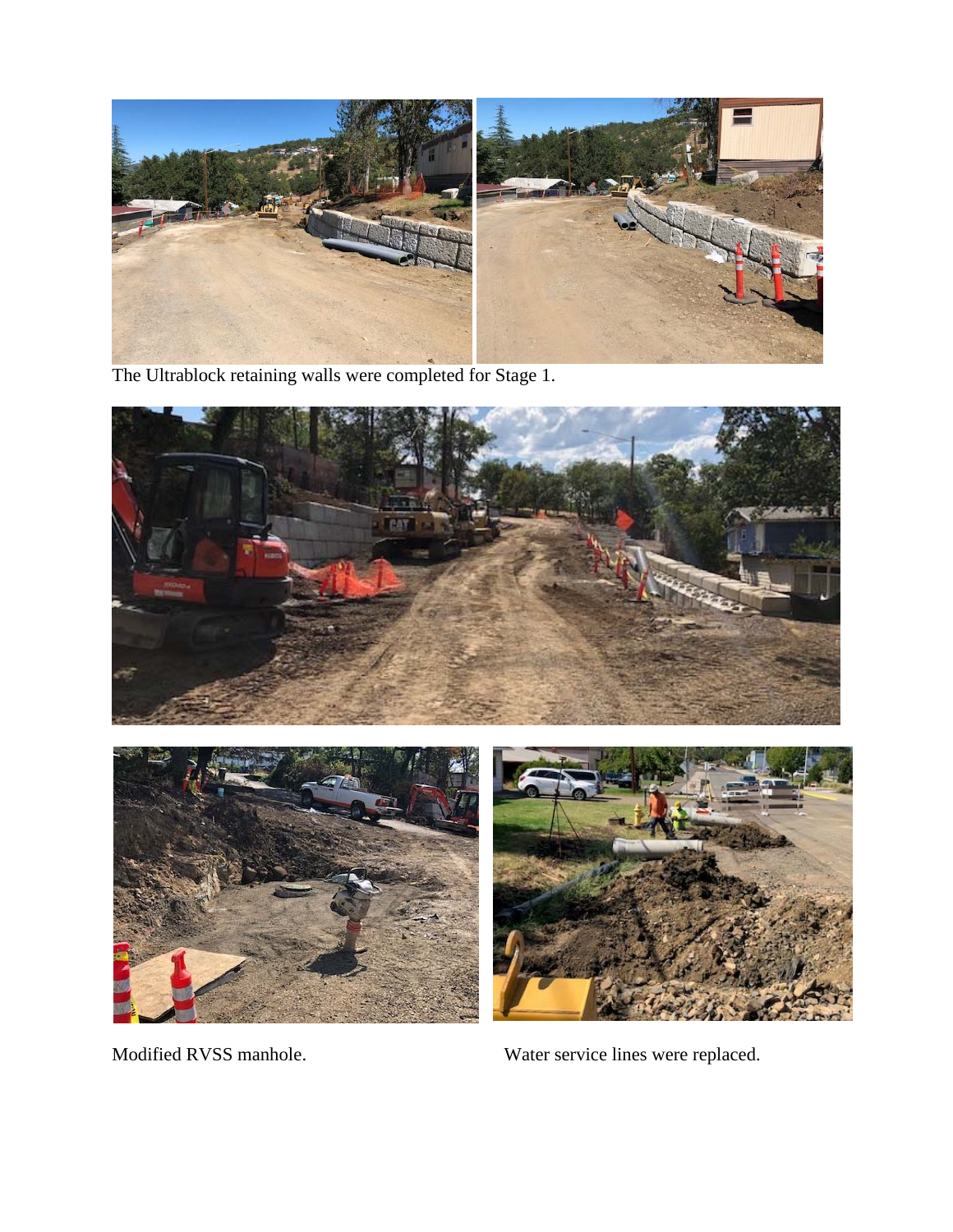

The Ultrablock retaining walls were completed for Stage 1.





Modified RVSS manhole. Water service lines were replaced.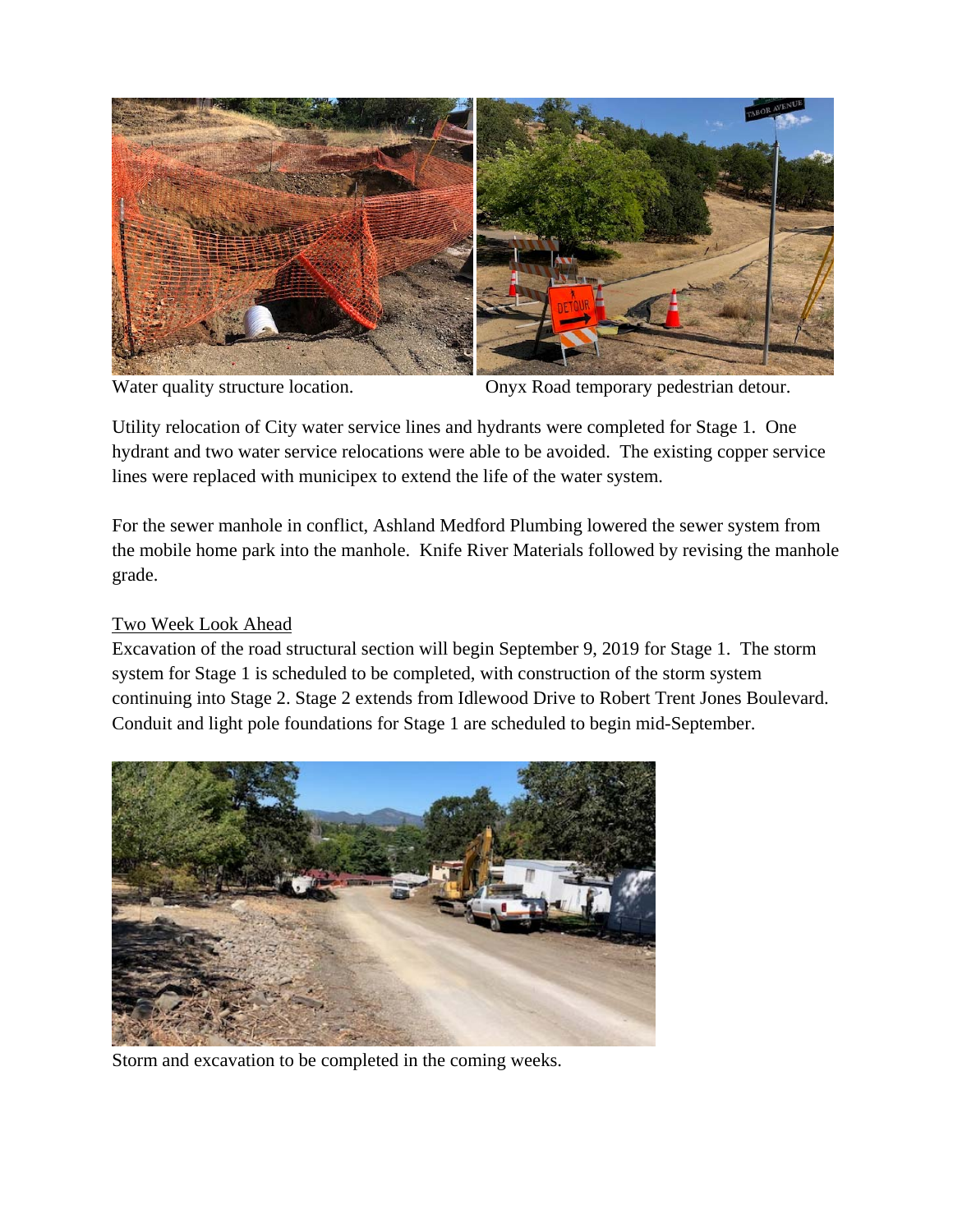

Water quality structure location. Onyx Road temporary pedestrian detour.

Utility relocation of City water service lines and hydrants were completed for Stage 1. One hydrant and two water service relocations were able to be avoided. The existing copper service lines were replaced with municipex to extend the life of the water system.

For the sewer manhole in conflict, Ashland Medford Plumbing lowered the sewer system from the mobile home park into the manhole. Knife River Materials followed by revising the manhole grade.

### Two Week Look Ahead

Excavation of the road structural section will begin September 9, 2019 for Stage 1. The storm system for Stage 1 is scheduled to be completed, with construction of the storm system continuing into Stage 2. Stage 2 extends from Idlewood Drive to Robert Trent Jones Boulevard. Conduit and light pole foundations for Stage 1 are scheduled to begin mid-September.



Storm and excavation to be completed in the coming weeks.